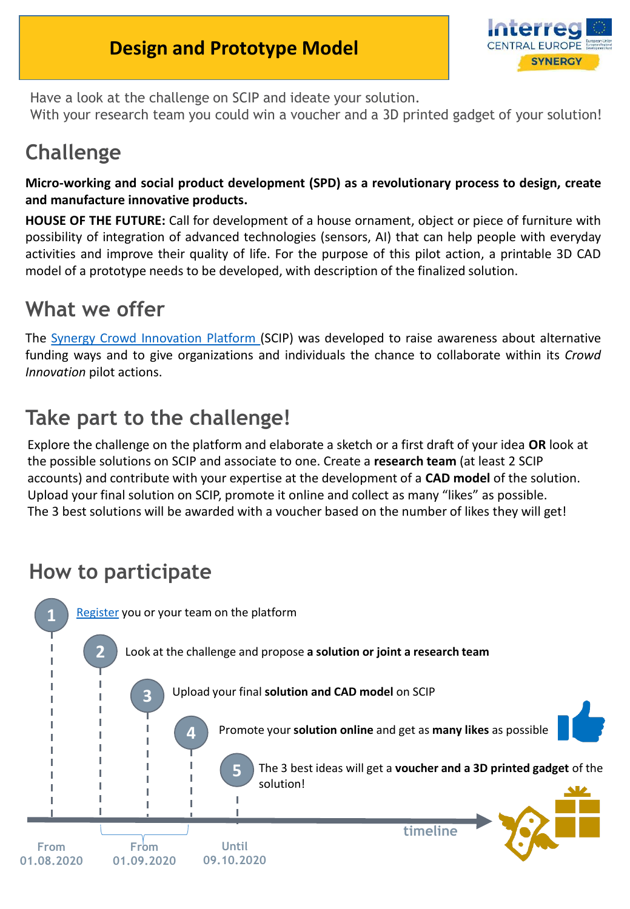#### **Design and Prototype Model**



Have a look at the challenge on SCIP and ideate your solution. With your research team you could win a voucher and a 3D printed gadget of your solution!

# **Challenge**

**Micro-working and social product development (SPD) as a revolutionary process to design, create and manufacture innovative products.**

**HOUSE OF THE FUTURE:** Call for development of a house ornament, object or piece of furniture with possibility of integration of advanced technologies (sensors, AI) that can help people with everyday activities and improve their quality of life. For the purpose of this pilot action, a printable 3D CAD model of a prototype needs to be developed, with description of the finalized solution.

### **What we offer**

The Synergy Crowd [Innovation](https://synergyplatform.pwr.edu.pl/) Platform (SCIP) was developed to raise awareness about alternative funding ways and to give organizations and individuals the chance to collaborate within its *Crowd Innovation* pilot actions.

# **Take part to the challenge!**

Explore the challenge on the platform and elaborate a sketch or a first draft of your idea **OR** look at the possible solutions on SCIP and associate to one. Create a **research team** (at least 2 SCIP accounts) and contribute with your expertise at the development of a **CAD model** of the solution. Upload your final solution on SCIP, promote it online and collect as many "likes" as possible. The 3 best solutions will be awarded with a voucher based on the number of likes they will get!

## **How to participate**

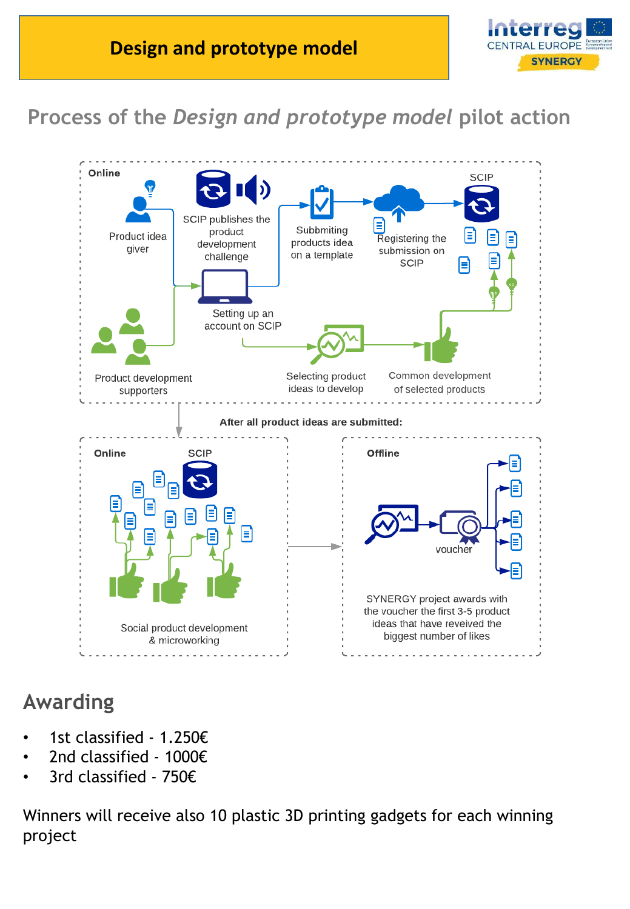

# **Process of the** *Design and prototype model* **pilot action**



## **Awarding**

- 1st classified 1.250€
- 2nd classified 1000€
- 3rd classified 750€

Winners will receive also 10 plastic 3D printing gadgets for each winning project